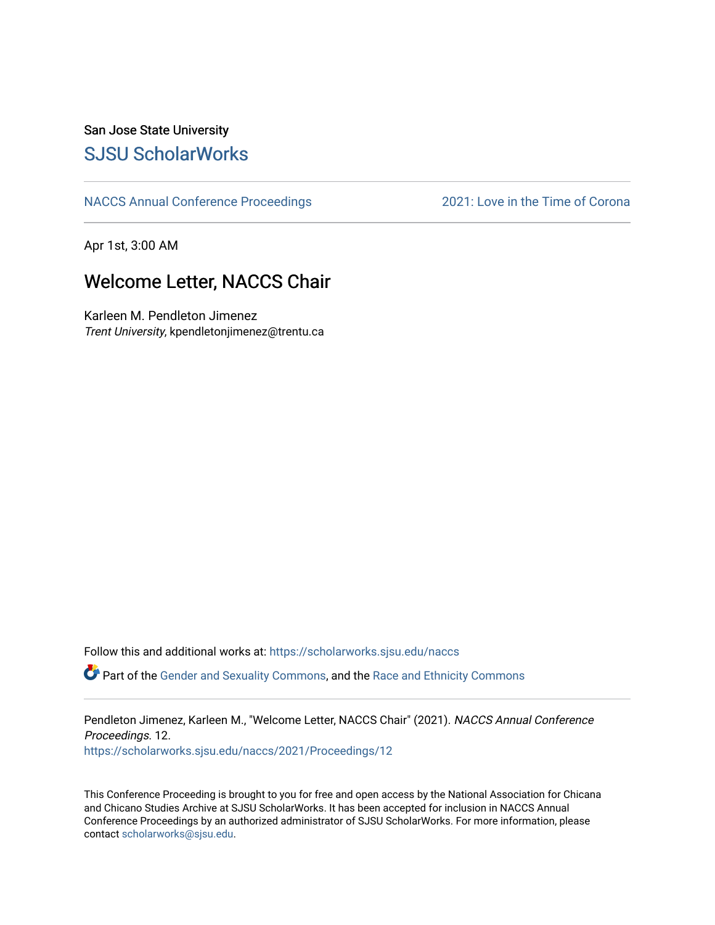## San Jose State University [SJSU ScholarWorks](https://scholarworks.sjsu.edu/)

[NACCS Annual Conference Proceedings](https://scholarworks.sjsu.edu/naccs) [2021: Love in the Time of Corona](https://scholarworks.sjsu.edu/naccs/2021) 

Apr 1st, 3:00 AM

## Welcome Letter, NACCS Chair

Karleen M. Pendleton Jimenez Trent University, kpendletonjimenez@trentu.ca

Follow this and additional works at: [https://scholarworks.sjsu.edu/naccs](https://scholarworks.sjsu.edu/naccs?utm_source=scholarworks.sjsu.edu%2Fnaccs%2F2021%2FProceedings%2F12&utm_medium=PDF&utm_campaign=PDFCoverPages) 

Part of the [Gender and Sexuality Commons](http://network.bepress.com/hgg/discipline/420?utm_source=scholarworks.sjsu.edu%2Fnaccs%2F2021%2FProceedings%2F12&utm_medium=PDF&utm_campaign=PDFCoverPages), and the [Race and Ethnicity Commons](http://network.bepress.com/hgg/discipline/426?utm_source=scholarworks.sjsu.edu%2Fnaccs%2F2021%2FProceedings%2F12&utm_medium=PDF&utm_campaign=PDFCoverPages) 

Pendleton Jimenez, Karleen M., "Welcome Letter, NACCS Chair" (2021). NACCS Annual Conference Proceedings. 12.

[https://scholarworks.sjsu.edu/naccs/2021/Proceedings/12](https://scholarworks.sjsu.edu/naccs/2021/Proceedings/12?utm_source=scholarworks.sjsu.edu%2Fnaccs%2F2021%2FProceedings%2F12&utm_medium=PDF&utm_campaign=PDFCoverPages)

This Conference Proceeding is brought to you for free and open access by the National Association for Chicana and Chicano Studies Archive at SJSU ScholarWorks. It has been accepted for inclusion in NACCS Annual Conference Proceedings by an authorized administrator of SJSU ScholarWorks. For more information, please contact [scholarworks@sjsu.edu.](mailto:scholarworks@sjsu.edu)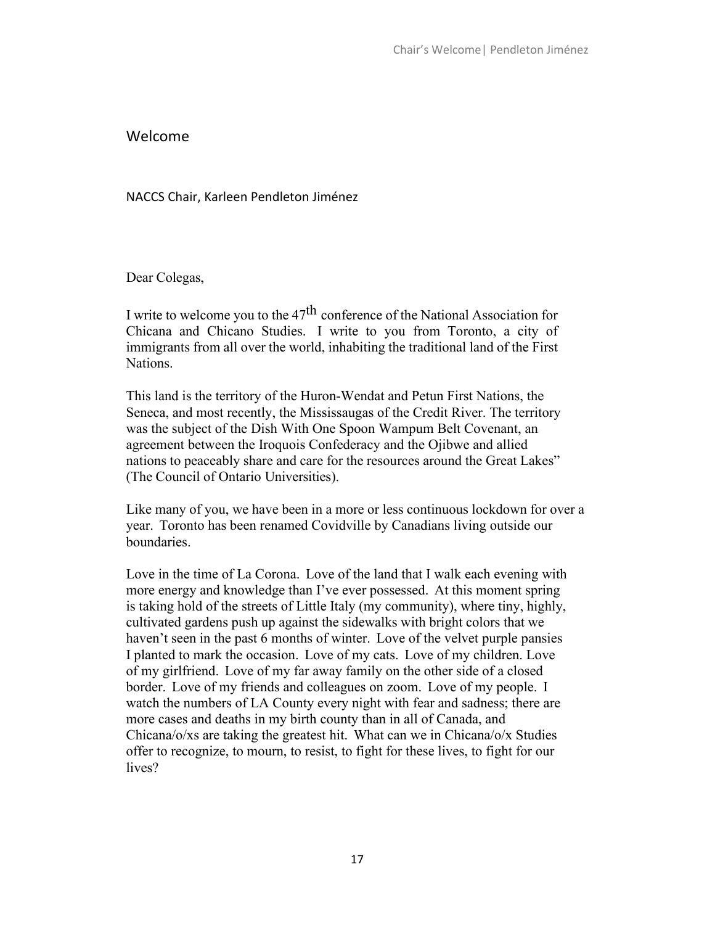## Welcome

NACCS Chair, Karleen Pendleton Jiménez

Dear Colegas,

I write to welcome you to the 47th conference of the National Association for Chicana and Chicano Studies. I write to you from Toronto, a city of immigrants from all over the world, inhabiting the traditional land of the First Nations.

This land is the territory of the Huron-Wendat and Petun First Nations, the Seneca, and most recently, the Mississaugas of the Credit River. The territory was the subject of the Dish With One Spoon Wampum Belt Covenant, an agreement between the Iroquois Confederacy and the Ojibwe and allied nations to peaceably share and care for the resources around the Great Lakes" (The Council of Ontario Universities).

Like many of you, we have been in a more or less continuous lockdown for over a year. Toronto has been renamed Covidville by Canadians living outside our boundaries.

Love in the time of La Corona. Love of the land that I walk each evening with more energy and knowledge than I've ever possessed. At this moment spring is taking hold of the streets of Little Italy (my community), where tiny, highly, cultivated gardens push up against the sidewalks with bright colors that we haven't seen in the past 6 months of winter. Love of the velvet purple pansies I planted to mark the occasion. Love of my cats. Love of my children. Love of my girlfriend. Love of my far away family on the other side of a closed border. Love of my friends and colleagues on zoom. Love of my people. I watch the numbers of LA County every night with fear and sadness; there are more cases and deaths in my birth county than in all of Canada, and Chicana/o/xs are taking the greatest hit. What can we in Chicana/o/x Studies offer to recognize, to mourn, to resist, to fight for these lives, to fight for our lives?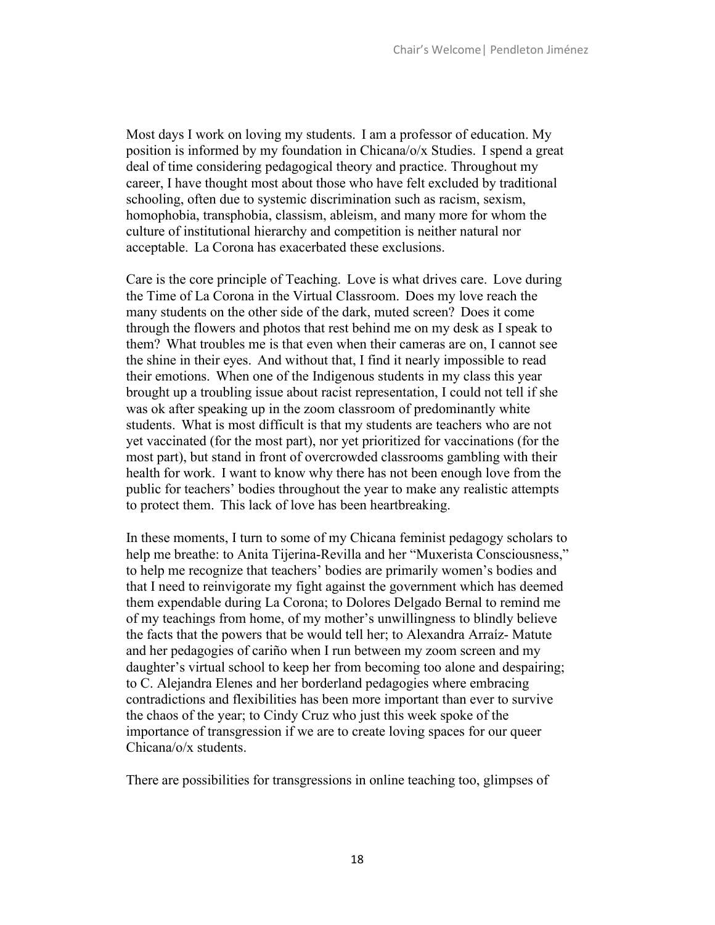Most days I work on loving my students. I am a professor of education. My position is informed by my foundation in Chicana/o/x Studies. I spend a great deal of time considering pedagogical theory and practice. Throughout my career, I have thought most about those who have felt excluded by traditional schooling, often due to systemic discrimination such as racism, sexism, homophobia, transphobia, classism, ableism, and many more for whom the culture of institutional hierarchy and competition is neither natural nor acceptable. La Corona has exacerbated these exclusions.

Care is the core principle of Teaching. Love is what drives care. Love during the Time of La Corona in the Virtual Classroom. Does my love reach the many students on the other side of the dark, muted screen? Does it come through the flowers and photos that rest behind me on my desk as I speak to them? What troubles me is that even when their cameras are on, I cannot see the shine in their eyes. And without that, I find it nearly impossible to read their emotions. When one of the Indigenous students in my class this year brought up a troubling issue about racist representation, I could not tell if she was ok after speaking up in the zoom classroom of predominantly white students. What is most difficult is that my students are teachers who are not yet vaccinated (for the most part), nor yet prioritized for vaccinations (for the most part), but stand in front of overcrowded classrooms gambling with their health for work. I want to know why there has not been enough love from the public for teachers' bodies throughout the year to make any realistic attempts to protect them. This lack of love has been heartbreaking.

In these moments, I turn to some of my Chicana feminist pedagogy scholars to help me breathe: to Anita Tijerina-Revilla and her "Muxerista Consciousness," to help me recognize that teachers' bodies are primarily women's bodies and that I need to reinvigorate my fight against the government which has deemed them expendable during La Corona; to Dolores Delgado Bernal to remind me of my teachings from home, of my mother's unwillingness to blindly believe the facts that the powers that be would tell her; to Alexandra Arraíz- Matute and her pedagogies of cariño when I run between my zoom screen and my daughter's virtual school to keep her from becoming too alone and despairing; to C. Alejandra Elenes and her borderland pedagogies where embracing contradictions and flexibilities has been more important than ever to survive the chaos of the year; to Cindy Cruz who just this week spoke of the importance of transgression if we are to create loving spaces for our queer Chicana/o/x students.

There are possibilities for transgressions in online teaching too, glimpses of